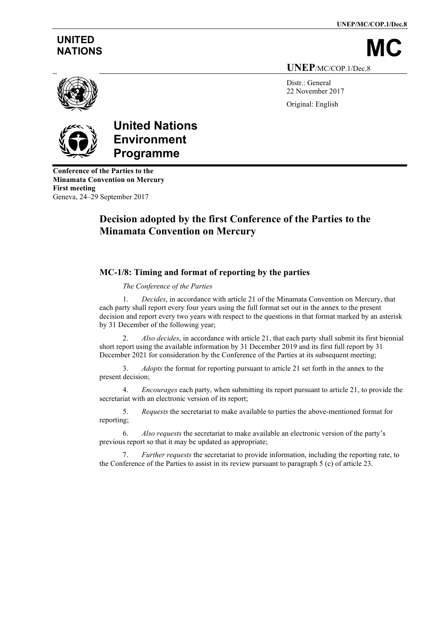**UNEP/MC/COP.1/Dec.8**

# **UNITED**

NATIONS **UNEP**/MC/COP.1/Dec.8

> Distr.: General 22 November 2017 Original: English



## **United Nations Environment Programme**

**Conference of the Parties to the Minamata Convention on Mercury First meeting** Geneva, 24–29 September 2017

## **Decision adopted by the first Conference of the Parties to the Minamata Convention on Mercury**

## **MC-1/8: Timing and format of reporting by the parties**

*The Conference of the Parties*

1. *Decides*, in accordance with article 21 of the Minamata Convention on Mercury, that each party shall report every four years using the full format set out in the annex to the present decision and report every two years with respect to the questions in that format marked by an asterisk by 31 December of the following year;

2. *Also decides*, in accordance with article 21, that each party shall submit its first biennial short report using the available information by 31 December 2019 and its first full report by 31 December 2021 for consideration by the Conference of the Parties at its subsequent meeting;

3. *Adopts* the format for reporting pursuant to article 21 set forth in the annex to the present decision;

4. *Encourages* each party, when submitting its report pursuant to article 21, to provide the secretariat with an electronic version of its report;

5. *Requests* the secretariat to make available to parties the above-mentioned format for reporting;

6. *Also requests* the secretariat to make available an electronic version of the party's previous report so that it may be updated as appropriate;

7. *Further requests* the secretariat to provide information, including the reporting rate, to the Conference of the Parties to assist in its review pursuant to paragraph 5 (c) of article 23.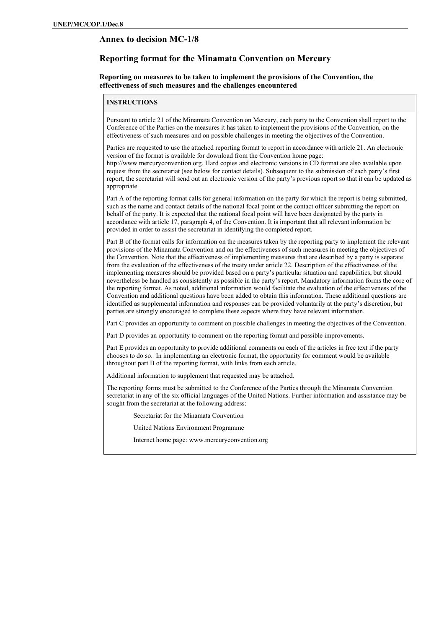#### **Annex to decision MC-1/8**

#### **Reporting format for the Minamata Convention on Mercury**

#### **Reporting on measures to be taken to implement the provisions of the Convention, the effectiveness of such measures and the challenges encountered**

#### **INSTRUCTIONS**

Pursuant to article 21 of the Minamata Convention on Mercury, each party to the Convention shall report to the Conference of the Parties on the measures it has taken to implement the provisions of the Convention, on the effectiveness of such measures and on possible challenges in meeting the objectives of the Convention.

Parties are requested to use the attached reporting format to report in accordance with article 21. An electronic version of the format is available for download from the Convention home page: [http://www.mercuryconvention.org.](http://www.mercuryconvention.org/) Hard copies and electronic versions in CD format are also available upon request from the secretariat (see below for contact details). Subsequent to the submission of each party's first report, the secretariat will send out an electronic version of the party's previous report so that it can be updated as appropriate.

Part A of the reporting format calls for general information on the party for which the report is being submitted, such as the name and contact details of the national focal point or the contact officer submitting the report on behalf of the party. It is expected that the national focal point will have been designated by the party in accordance with article 17, paragraph 4, of the Convention. It is important that all relevant information be provided in order to assist the secretariat in identifying the completed report.

Part B of the format calls for information on the measures taken by the reporting party to implement the relevant provisions of the Minamata Convention and on the effectiveness of such measures in meeting the objectives of the Convention. Note that the effectiveness of implementing measures that are described by a party is separate from the evaluation of the effectiveness of the treaty under article 22. Description of the effectiveness of the implementing measures should be provided based on a party's particular situation and capabilities, but should nevertheless be handled as consistently as possible in the party's report. Mandatory information forms the core of the reporting format. As noted, additional information would facilitate the evaluation of the effectiveness of the Convention and additional questions have been added to obtain this information. These additional questions are identified as supplemental information and responses can be provided voluntarily at the party's discretion, but parties are strongly encouraged to complete these aspects where they have relevant information.

Part C provides an opportunity to comment on possible challenges in meeting the objectives of the Convention.

Part D provides an opportunity to comment on the reporting format and possible improvements.

Part E provides an opportunity to provide additional comments on each of the articles in free text if the party chooses to do so. In implementing an electronic format, the opportunity for comment would be available throughout part B of the reporting format, with links from each article.

Additional information to supplement that requested may be attached.

The reporting forms must be submitted to the Conference of the Parties through the Minamata Convention secretariat in any of the six official languages of the United Nations. Further information and assistance may be sought from the secretariat at the following address:

Secretariat for the Minamata Convention

United Nations Environment Programme

Internet home page: www.mercuryconvention.org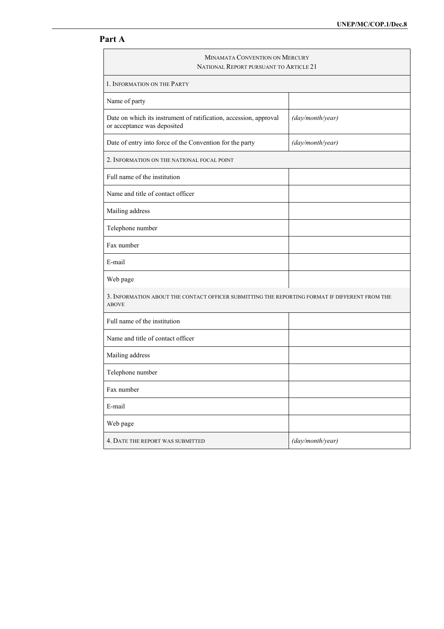### **Part A**

# MINAMATA CONVENTION ON MERCURY NATIONAL REPORT PURSUANT TO ARTICLE 21 1. INFORMATION ON THE PARTY Name of party Date on which its instrument of ratification, accession, approval or acceptance was deposited *(day/month/year)* Date of entry into force of the Convention for the party *(day/month/year)* 2. INFORMATION ON THE NATIONAL FOCAL POINT Full name of the institution Name and title of contact officer Mailing address Telephone number Fax number E-mail Web page 3. INFORMATION ABOUT THE CONTACT OFFICER SUBMITTING THE REPORTING FORMAT IF DIFFERENT FROM THE ABOVE Full name of the institution Name and title of contact officer Mailing address Telephone number Fax number E-mail Web page 4. DATE THE REPORT WAS SUBMITTED *(day/month/year)*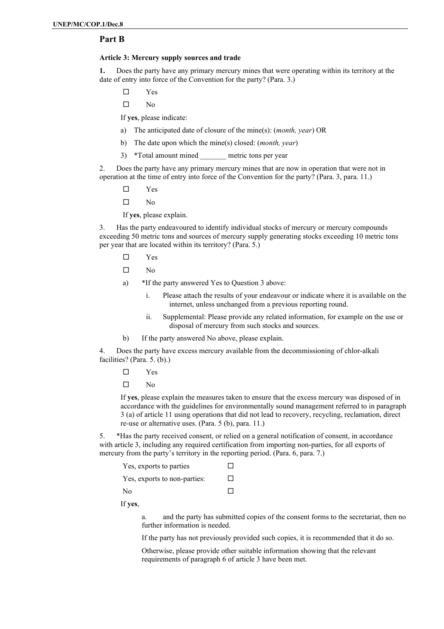#### **Part B**

#### **Article 3: Mercury supply sources and trade**

**1.** Does the party have any primary mercury mines that were operating within its territory at the date of entry into force of the Convention for the party? (Para. 3.)

- Yes
- $\square$  No

If **yes**, please indicate:

- a) The anticipated date of closure of the mine(s): (*month, year*) OR
- b) The date upon which the mine(s) closed: (*month, year*)
- 3) \*Total amount mined metric tons per year

2. Does the party have any primary mercury mines that are now in operation that were not in operation at the time of entry into force of the Convention for the party? (Para. 3, para. 11.)

- Yes
- $\Box$  No

If **yes**, please explain.

3. Has the party endeavoured to identify individual stocks of mercury or mercury compounds exceeding 50 metric tons and sources of mercury supply generating stocks exceeding 10 metric tons per year that are located within its territory? (Para. 5.)

- Yes
- $\square$  No
- a) \*If the party answered Yes to Question 3 above:
	- i. Please attach the results of your endeavour or indicate where it is available on the internet, unless unchanged from a previous reporting round.
	- ii. Supplemental: Please provide any related information, for example on the use or disposal of mercury from such stocks and sources.
- b) If the party answered No above, please explain.

4. Does the party have excess mercury available from the decommissioning of chlor-alkali facilities? (Para. 5. (b).)

- Yes
- $\square$  No

If **yes**, please explain the measures taken to ensure that the excess mercury was disposed of in accordance with the guidelines for environmentally sound management referred to in paragraph 3 (a) of article 11 using operations that did not lead to recovery, recycling, reclamation, direct re-use or alternative uses. (Para. 5 (b), para. 11.)

5. \*Has the party received consent, or relied on a general notification of consent, in accordance with article 3, including any required certification from importing non-parties, for all exports of mercury from the party's territory in the reporting period. (Para. 6, para. 7.)

| Yes, exports to parties      | $\mathsf{L}$ |
|------------------------------|--------------|
| Yes, exports to non-parties: | □            |
| N <sub>0</sub>               | П            |

If **yes**,

a. and the party has submitted copies of the consent forms to the secretariat, then no further information is needed.

If the party has not previously provided such copies, it is recommended that it do so.

Otherwise, please provide other suitable information showing that the relevant requirements of paragraph 6 of article 3 have been met.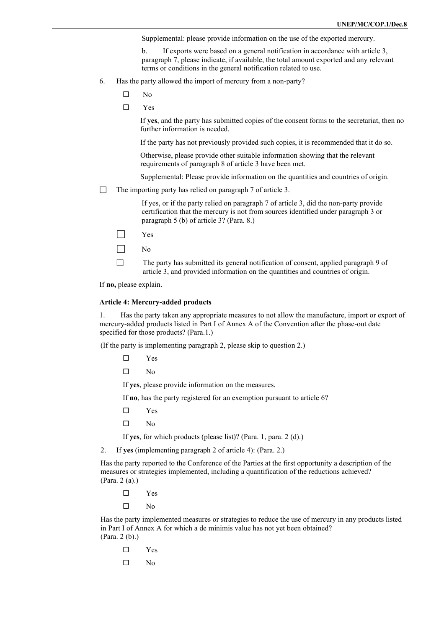Supplemental: please provide information on the use of the exported mercury.

b. If exports were based on a general notification in accordance with article 3, paragraph 7, please indicate, if available, the total amount exported and any relevant terms or conditions in the general notification related to use.

- 6. Has the party allowed the import of mercury from a non-party?
	- $\square$  No
	- $\square$  Yes

If **yes**, and the party has submitted copies of the consent forms to the secretariat, then no further information is needed.

If the party has not previously provided such copies, it is recommended that it do so.

Otherwise, please provide other suitable information showing that the relevant requirements of paragraph 8 of article 3 have been met.

Supplemental: Please provide information on the quantities and countries of origin.

 $\Box$  The importing party has relied on paragraph 7 of article 3.

If yes, or if the party relied on paragraph 7 of article 3, did the non-party provide certification that the mercury is not from sources identified under paragraph 3 or paragraph 5 (b) of article 3? (Para. 8.)

- $\Box$  Yes
- $\Box$  No

 $\Box$  The party has submitted its general notification of consent, applied paragraph 9 of article 3, and provided information on the quantities and countries of origin.

If **no,** please explain.

#### **Article 4: Mercury-added products**

1. Has the party taken any appropriate measures to not allow the manufacture, import or export of mercury-added products listed in Part I of Annex A of the Convention after the phase-out date specified for those products? (Para.1.)

(If the party is implementing paragraph 2, please skip to question 2.)

- Yes
- $\square$  No

If **yes**, please provide information on the measures.

If **no**, has the party registered for an exemption pursuant to article 6?

- Yes
- $\Box$  No

If **yes**, for which products (please list)? (Para. 1, para. 2 (d).)

2. If **yes** (implementing paragraph 2 of article 4): (Para. 2.)

Has the party reported to the Conference of the Parties at the first opportunity a description of the measures or strategies implemented, including a quantification of the reductions achieved? (Para. 2 (a).)

Yes

 $\square$  No

Has the party implemented measures or strategies to reduce the use of mercury in any products listed in Part I of Annex A for which a de minimis value has not yet been obtained? (Para. 2 (b).)

- Yes
- $\Box$  No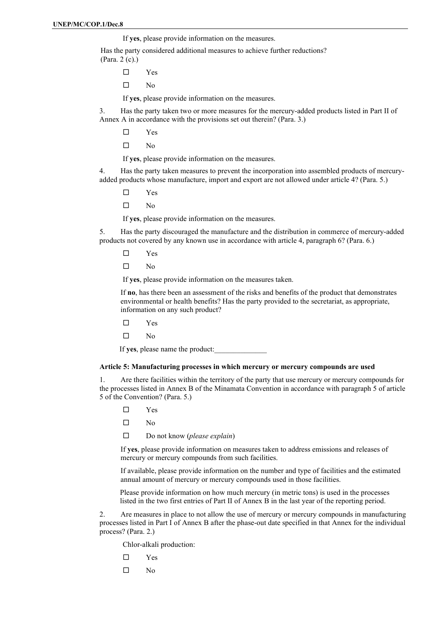If **yes**, please provide information on the measures.

Has the party considered additional measures to achieve further reductions? (Para. 2 (c).)

- Yes
- $\square$  No

If **yes**, please provide information on the measures.

3. Has the party taken two or more measures for the mercury-added products listed in Part II of Annex A in accordance with the provisions set out therein? (Para. 3.)

- Yes
- $\Box$  No

If **yes**, please provide information on the measures.

4. Has the party taken measures to prevent the incorporation into assembled products of mercuryadded products whose manufacture, import and export are not allowed under article 4? (Para. 5.)

- Yes
- $\square$  No

If **yes**, please provide information on the measures.

5. Has the party discouraged the manufacture and the distribution in commerce of mercury-added products not covered by any known use in accordance with article 4, paragraph 6? (Para. 6.)

- Yes
- $\square$  No

If **yes**, please provide information on the measures taken.

If **no**, has there been an assessment of the risks and benefits of the product that demonstrates environmental or health benefits? Has the party provided to the secretariat, as appropriate, information on any such product?

- Yes
- $\square$  No

If yes, please name the product:

#### **Article 5: Manufacturing processes in which mercury or mercury compounds are used**

1. Are there facilities within the territory of the party that use mercury or mercury compounds for the processes listed in Annex B of the Minamata Convention in accordance with paragraph 5 of article 5 of the Convention? (Para. 5.)

- Yes
- $\square$  No
- Do not know (*please explain*)

If **yes**, please provide information on measures taken to address emissions and releases of mercury or mercury compounds from such facilities.

If available, please provide information on the number and type of facilities and the estimated annual amount of mercury or mercury compounds used in those facilities.

Please provide information on how much mercury (in metric tons) is used in the processes listed in the two first entries of Part II of Annex B in the last year of the reporting period.

2. Are measures in place to not allow the use of mercury or mercury compounds in manufacturing processes listed in Part I of Annex B after the phase-out date specified in that Annex for the individual process? (Para. 2.)

Chlor-alkali production:

- Yes
- $\square$  No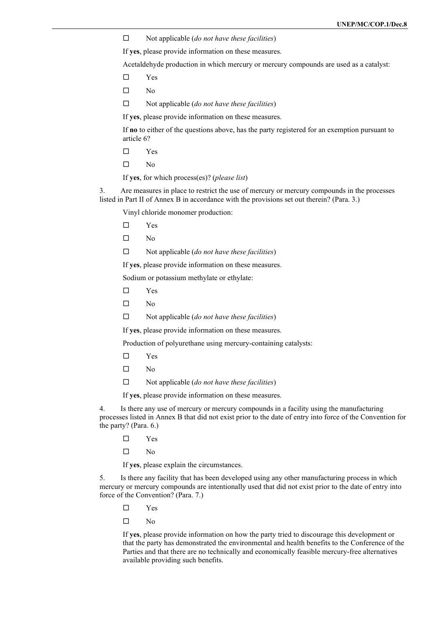Not applicable (*do not have these facilities*)

If **yes**, please provide information on these measures.

Acetaldehyde production in which mercury or mercury compounds are used as a catalyst:

- Yes
- $\square$  No
- Not applicable (*do not have these facilities*)

If **yes**, please provide information on these measures.

If **no** to either of the questions above, has the party registered for an exemption pursuant to article 6?

- Yes
- $\square$  No
- If **yes**, for which process(es)? (*please list*)

3. Are measures in place to restrict the use of mercury or mercury compounds in the processes listed in Part II of Annex B in accordance with the provisions set out therein? (Para. 3.)

Vinyl chloride monomer production:

- Yes
- $\square$  No
- Not applicable (*do not have these facilities*)

If **yes**, please provide information on these measures.

Sodium or potassium methylate or ethylate:

- Yes
- $\square$  No
- Not applicable (*do not have these facilities*)

If **yes**, please provide information on these measures.

Production of polyurethane using mercury-containing catalysts:

- Yes
- $\square$  No
- Not applicable (*do not have these facilities*)
- If **yes**, please provide information on these measures.

4. Is there any use of mercury or mercury compounds in a facility using the manufacturing processes listed in Annex B that did not exist prior to the date of entry into force of the Convention for the party? (Para. 6.)

Yes

 $\square$  No

If **yes**, please explain the circumstances.

5. Is there any facility that has been developed using any other manufacturing process in which mercury or mercury compounds are intentionally used that did not exist prior to the date of entry into force of the Convention? (Para. 7.)

- Yes
- $\Box$  No

If **yes**, please provide information on how the party tried to discourage this development or that the party has demonstrated the environmental and health benefits to the Conference of the Parties and that there are no technically and economically feasible mercury-free alternatives available providing such benefits.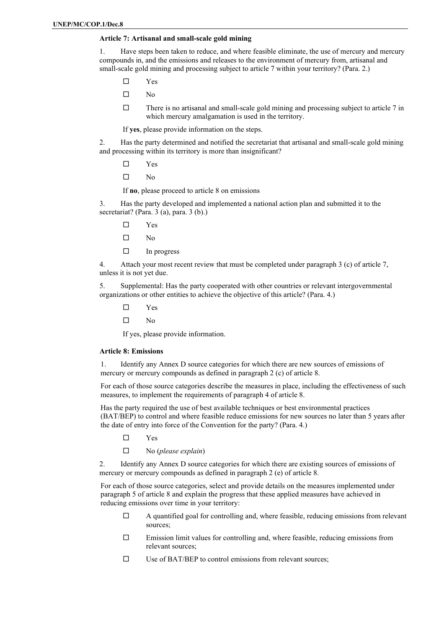#### **Article 7: Artisanal and small-scale gold mining**

1. Have steps been taken to reduce, and where feasible eliminate, the use of mercury and mercury compounds in, and the emissions and releases to the environment of mercury from, artisanal and small-scale gold mining and processing subject to article 7 within your territory? (Para. 2.)

- Yes
- $\square$  No
- $\Box$  There is no artisanal and small-scale gold mining and processing subject to article 7 in which mercury amalgamation is used in the territory.

If **yes**, please provide information on the steps.

2. Has the party determined and notified the secretariat that artisanal and small-scale gold mining and processing within its territory is more than insignificant?

- Yes
- $\Box$  No

If **no**, please proceed to article 8 on emissions

3. Has the party developed and implemented a national action plan and submitted it to the secretariat? (Para. 3 (a), para. 3 (b).)

- Yes
- $\square$  No
- $\Box$  In progress

4. Attach your most recent review that must be completed under paragraph 3 (c) of article 7, unless it is not yet due.

5. Supplemental: Has the party cooperated with other countries or relevant intergovernmental organizations or other entities to achieve the objective of this article? (Para. 4.)

- Yes
- $\square$  No

If yes, please provide information.

#### **Article 8: Emissions**

1. Identify any Annex D source categories for which there are new sources of emissions of mercury or mercury compounds as defined in paragraph 2 (c) of article 8.

For each of those source categories describe the measures in place, including the effectiveness of such measures, to implement the requirements of paragraph 4 of article 8.

Has the party required the use of best available techniques or best environmental practices (BAT/BEP) to control and where feasible reduce emissions for new sources no later than 5 years after the date of entry into force of the Convention for the party? (Para. 4.)

- Yes
- No (*please explain*)

2. Identify any Annex D source categories for which there are existing sources of emissions of mercury or mercury compounds as defined in paragraph 2 (e) of article 8.

For each of those source categories, select and provide details on the measures implemented under paragraph 5 of article 8 and explain the progress that these applied measures have achieved in reducing emissions over time in your territory:

- $\Box$  A quantified goal for controlling and, where feasible, reducing emissions from relevant sources;
- $\square$  Emission limit values for controlling and, where feasible, reducing emissions from relevant sources;
- $\square$  Use of BAT/BEP to control emissions from relevant sources;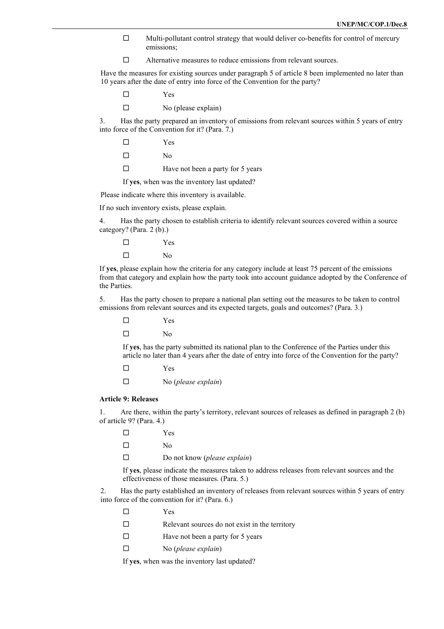- $\Box$  Multi-pollutant control strategy that would deliver co-benefits for control of mercury emissions;
- □ Alternative measures to reduce emissions from relevant sources.

Have the measures for existing sources under paragraph 5 of article 8 been implemented no later than 10 years after the date of entry into force of the Convention for the party?

Yes

 $\square$  No (please explain)

3. Has the party prepared an inventory of emissions from relevant sources within 5 years of entry into force of the Convention for it? (Para. 7.)

Yes

 $\Box$  No

 $\Box$  Have not been a party for 5 years

If **yes**, when was the inventory last updated?

Please indicate where this inventory is available.

If no such inventory exists, please explain.

4. Has the party chosen to establish criteria to identify relevant sources covered within a source category? (Para. 2 (b).)

 Yes  $\square$  No

If **yes**, please explain how the criteria for any category include at least 75 percent of the emissions from that category and explain how the party took into account guidance adopted by the Conference of the Parties.

5. Has the party chosen to prepare a national plan setting out the measures to be taken to control emissions from relevant sources and its expected targets, goals and outcomes? (Para. 3.)

Yes

 $\neg$  No

If **yes**, has the party submitted its national plan to the Conference of the Parties under this article no later than 4 years after the date of entry into force of the Convention for the party?

Yes

No (*please explain*)

#### **Article 9: Releases**

1. Are there, within the party's territory, relevant sources of releases as defined in paragraph 2 (b) of article 9? (Para. 4.)

 Yes  $\square$  No Do not know (*please explain*)

If **yes**, please indicate the measures taken to address releases from relevant sources and the effectiveness of those measures. (Para. 5.)

2. Has the party established an inventory of releases from relevant sources within 5 years of entry into force of the convention for it? (Para. 6.)

- Yes
- $\Box$  Relevant sources do not exist in the territory
- $\Box$  Have not been a party for 5 years
- No (*please explain*)

If **yes**, when was the inventory last updated?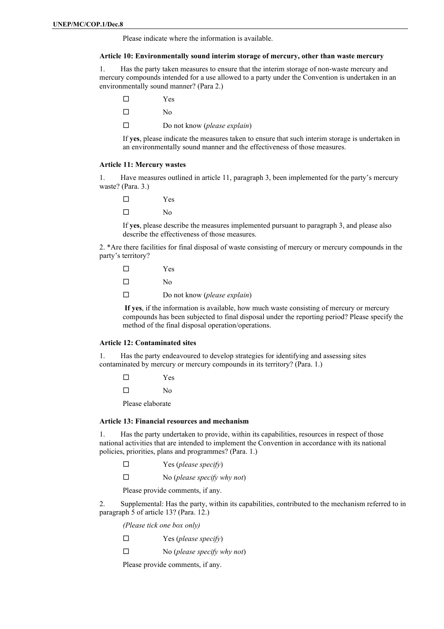Please indicate where the information is available.

#### **Article 10: Environmentally sound interim storage of mercury, other than waste mercury**

1. Has the party taken measures to ensure that the interim storage of non-waste mercury and mercury compounds intended for a use allowed to a party under the Convention is undertaken in an environmentally sound manner? (Para 2.)

- Yes
- $\Box$  No
- Do not know (*please explain*)

If **yes**, please indicate the measures taken to ensure that such interim storage is undertaken in an environmentally sound manner and the effectiveness of those measures.

#### **Article 11: Mercury wastes**

1. Have measures outlined in article 11, paragraph 3, been implemented for the party's mercury waste? (Para. 3.)

 Yes  $\Box$  No

If **yes**, please describe the measures implemented pursuant to paragraph 3, and please also describe the effectiveness of those measures.

2. \*Are there facilities for final disposal of waste consisting of mercury or mercury compounds in the party's territory?

- Yes
- $\square$  No
- Do not know (*please explain*)

**If yes**, if the information is available, how much waste consisting of mercury or mercury compounds has been subjected to final disposal under the reporting period? Please specify the method of the final disposal operation/operations.

#### **Article 12: Contaminated sites**

1. Has the party endeavoured to develop strategies for identifying and assessing sites contaminated by mercury or mercury compounds in its territory? (Para. 1.)

- Yes
- $\neg$  No

Please elaborate

#### **Article 13: Financial resources and mechanism**

1. Has the party undertaken to provide, within its capabilities, resources in respect of those national activities that are intended to implement the Convention in accordance with its national policies, priorities, plans and programmes? (Para. 1.)

- Yes (*please specify*)
- No (*please specify why not*)

Please provide comments, if any.

2. Supplemental: Has the party, within its capabilities, contributed to the mechanism referred to in paragraph 5 of article 13? (Para. 12.)

*(Please tick one box only)*

- Yes (*please specify*)
- No (*please specify why not*)

Please provide comments, if any.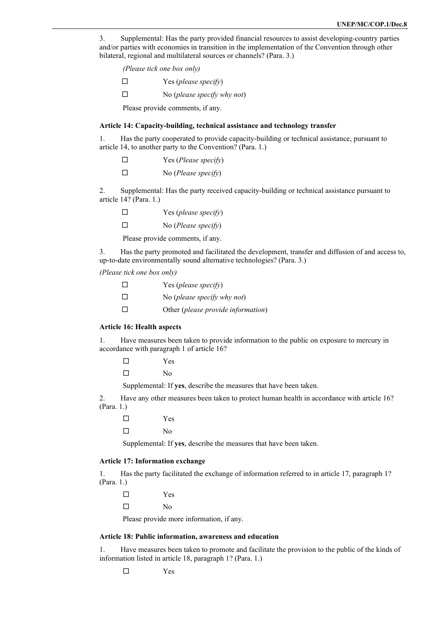3. Supplemental: Has the party provided financial resources to assist developing-country parties and/or parties with economies in transition in the implementation of the Convention through other bilateral, regional and multilateral sources or channels? (Para. 3.)

|        | (Please tick one box only)       |
|--------|----------------------------------|
| П      | Yes ( <i>please specify</i> )    |
| $\Box$ | No (please specify why not)      |
|        | Please provide comments, if any. |

#### **Article 14: Capacity-building, technical assistance and technology transfer**

1. Has the party cooperated to provide capacity-building or technical assistance, pursuant to article 14, to another party to the Convention? (Para. 1.)

| $\Box$ | Yes (Please specify) |
|--------|----------------------|
| $\Box$ | No (Please specify)  |

2. Supplemental: Has the party received capacity-building or technical assistance pursuant to article 14? (Para. 1.)

| $\Box$ | Yes (please specify) |
|--------|----------------------|
| $\Box$ | No (Please specify)  |

Please provide comments, if any.

3. Has the party promoted and facilitated the development, transfer and diffusion of and access to, up-to-date environmentally sound alternative technologies? (Para. 3.)

*(Please tick one box only)*

| П | Yes (please specify)               |
|---|------------------------------------|
| □ | No (please specify why not)        |
| П | Other (please provide information) |

#### **Article 16: Health aspects**

1. Have measures been taken to provide information to the public on exposure to mercury in accordance with paragraph 1 of article 16?

Yes

 $\Box$  No

Supplemental: If **yes**, describe the measures that have been taken.

2. Have any other measures been taken to protect human health in accordance with article 16? (Para. 1.)

Yes

 $\neg$  No

Supplemental: If **yes**, describe the measures that have been taken.

#### **Article 17: Information exchange**

1. Has the party facilitated the exchange of information referred to in article 17, paragraph 1? (Para. 1.)

Yes

 $\Box$  No

Please provide more information, if any.

#### **Article 18: Public information, awareness and education**

1. Have measures been taken to promote and facilitate the provision to the public of the kinds of information listed in article 18, paragraph 1? (Para. 1.)

Yes